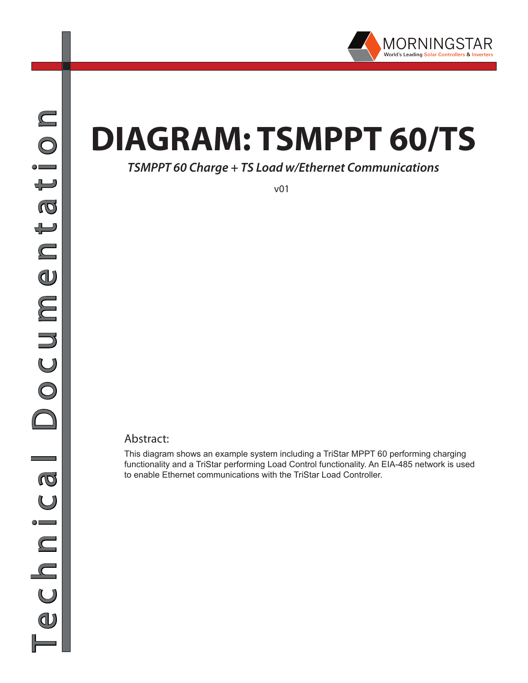

# **DIAGRAM: TSMPPT 60/TS**

### *TSMPPT 60 Charge + TS Load w/Ethernet Communications*

v01

#### Abstract:

This diagram shows an example system including a TriStar MPPT 60 performing charging functionality and a TriStar performing Load Control functionality. An EIA-485 network is used to enable Ethernet communications with the TriStar Load Controller.